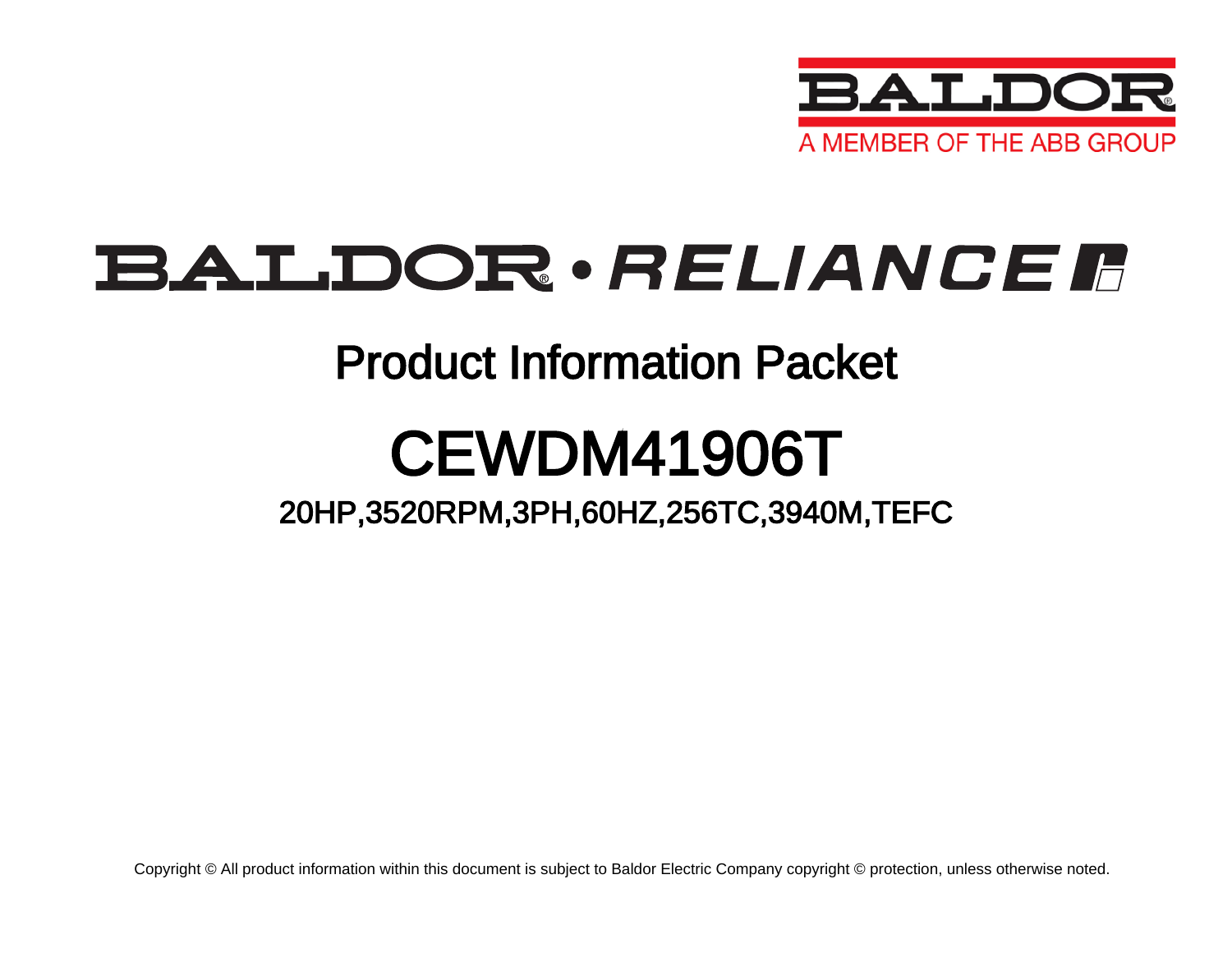

# BALDOR · RELIANCE F

### Product Information Packet

# CEWDM41906T

20HP,3520RPM,3PH,60HZ,256TC,3940M,TEFC

Copyright © All product information within this document is subject to Baldor Electric Company copyright © protection, unless otherwise noted.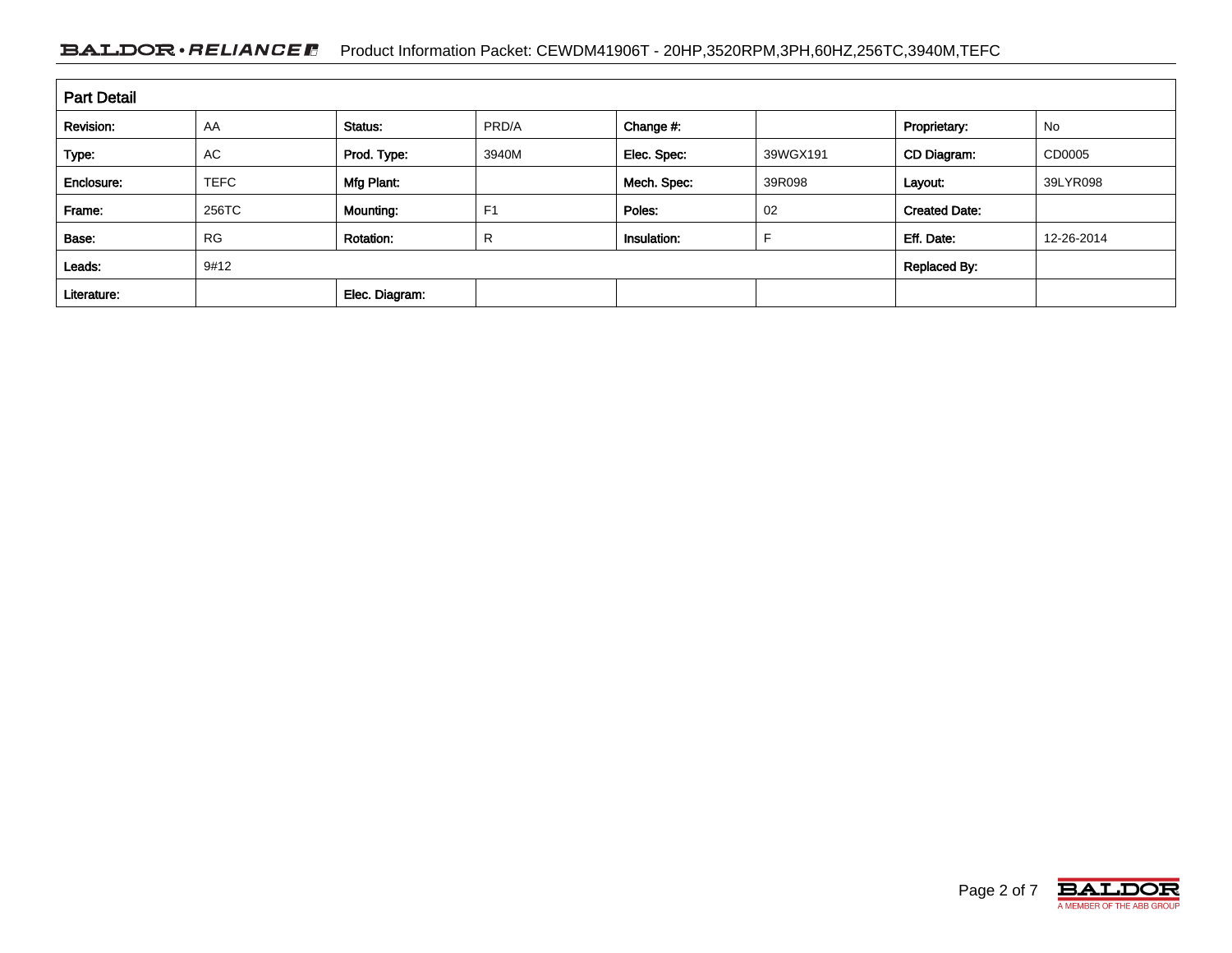### BALDOR · RELIANCE F Product Information Packet: CEWDM41906T - 20HP,3520RPM,3PH,60HZ,256TC,3940M,TEFC

| <b>Part Detail</b> |             |                  |                |                     |          |                      |            |
|--------------------|-------------|------------------|----------------|---------------------|----------|----------------------|------------|
| Revision:          | AA          | Status:          | PRD/A          | Change #:           |          | Proprietary:         | No         |
| Type:              | AC          | Prod. Type:      | 3940M          | Elec. Spec:         | 39WGX191 | CD Diagram:          | CD0005     |
| Enclosure:         | <b>TEFC</b> | Mfg Plant:       |                | Mech. Spec:         | 39R098   | Layout:              | 39LYR098   |
| Frame:             | 256TC       | Mounting:        | F <sub>1</sub> | Poles:              | 02       | <b>Created Date:</b> |            |
| Base:              | <b>RG</b>   | <b>Rotation:</b> | R              | Insulation:         |          | Eff. Date:           | 12-26-2014 |
| Leads:             | 9#12        |                  |                | <b>Replaced By:</b> |          |                      |            |
| Literature:        |             | Elec. Diagram:   |                |                     |          |                      |            |

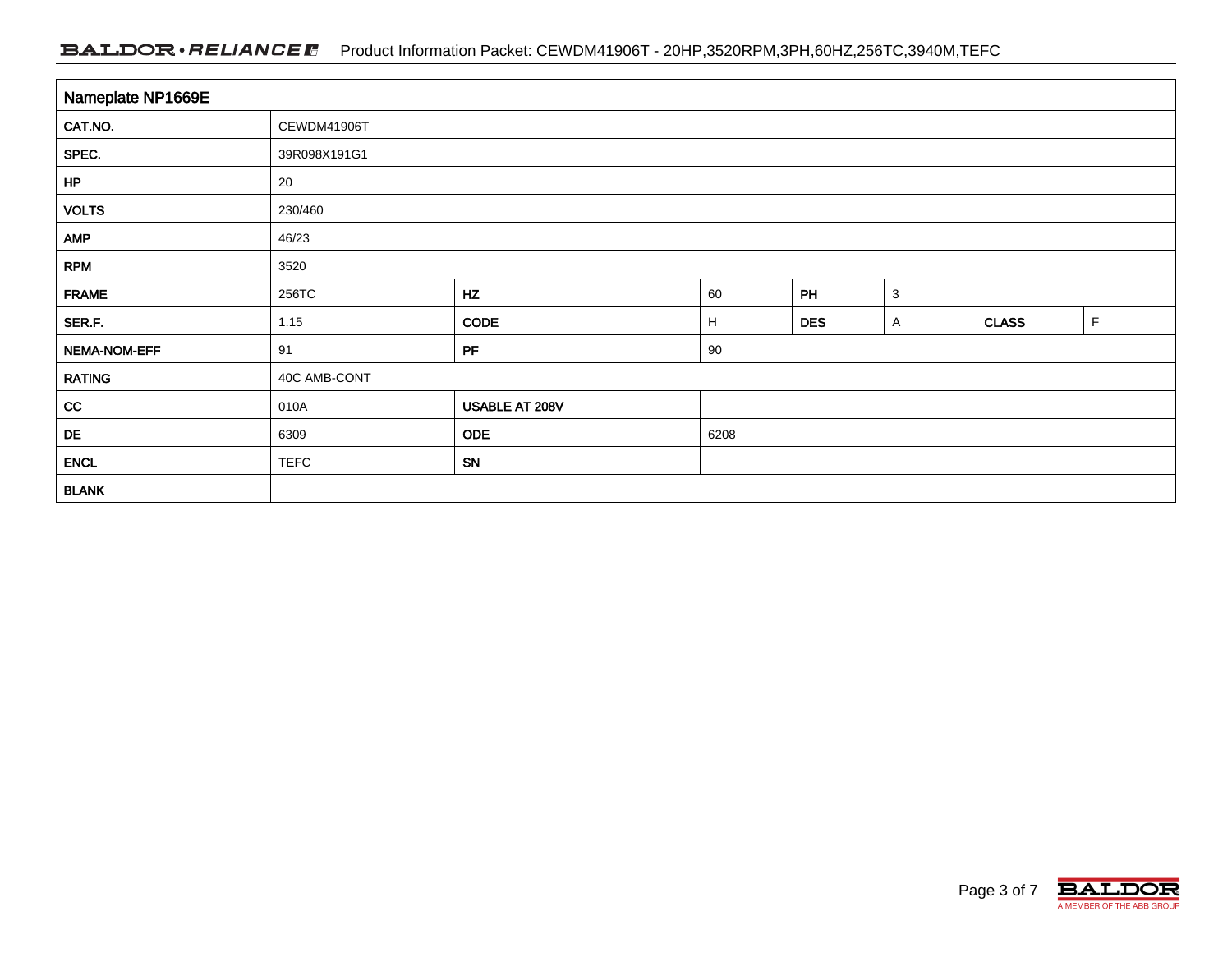### BALDOR · RELIANCE F Product Information Packet: CEWDM41906T - 20HP,3520RPM,3PH,60HZ,256TC,3940M,TEFC

| Nameplate NP1669E |              |                |      |            |              |              |             |
|-------------------|--------------|----------------|------|------------|--------------|--------------|-------------|
| CAT.NO.           | CEWDM41906T  |                |      |            |              |              |             |
| SPEC.             | 39R098X191G1 |                |      |            |              |              |             |
| HP                | 20           |                |      |            |              |              |             |
| <b>VOLTS</b>      | 230/460      |                |      |            |              |              |             |
| <b>AMP</b>        | 46/23        |                |      |            |              |              |             |
| <b>RPM</b>        | 3520         |                |      |            |              |              |             |
| <b>FRAME</b>      | 256TC        | HZ             | 60   | PH         | $\mathbf{3}$ |              |             |
| SER.F.            | 1.15         | CODE           | H    | <b>DES</b> | $\mathsf{A}$ | <b>CLASS</b> | $\mathsf F$ |
| NEMA-NOM-EFF      | 91           | PF             | 90   |            |              |              |             |
| <b>RATING</b>     | 40C AMB-CONT |                |      |            |              |              |             |
| cc                | 010A         | USABLE AT 208V |      |            |              |              |             |
| DE                | 6309         | <b>ODE</b>     | 6208 |            |              |              |             |
| <b>ENCL</b>       | <b>TEFC</b>  | SN             |      |            |              |              |             |
| <b>BLANK</b>      |              |                |      |            |              |              |             |

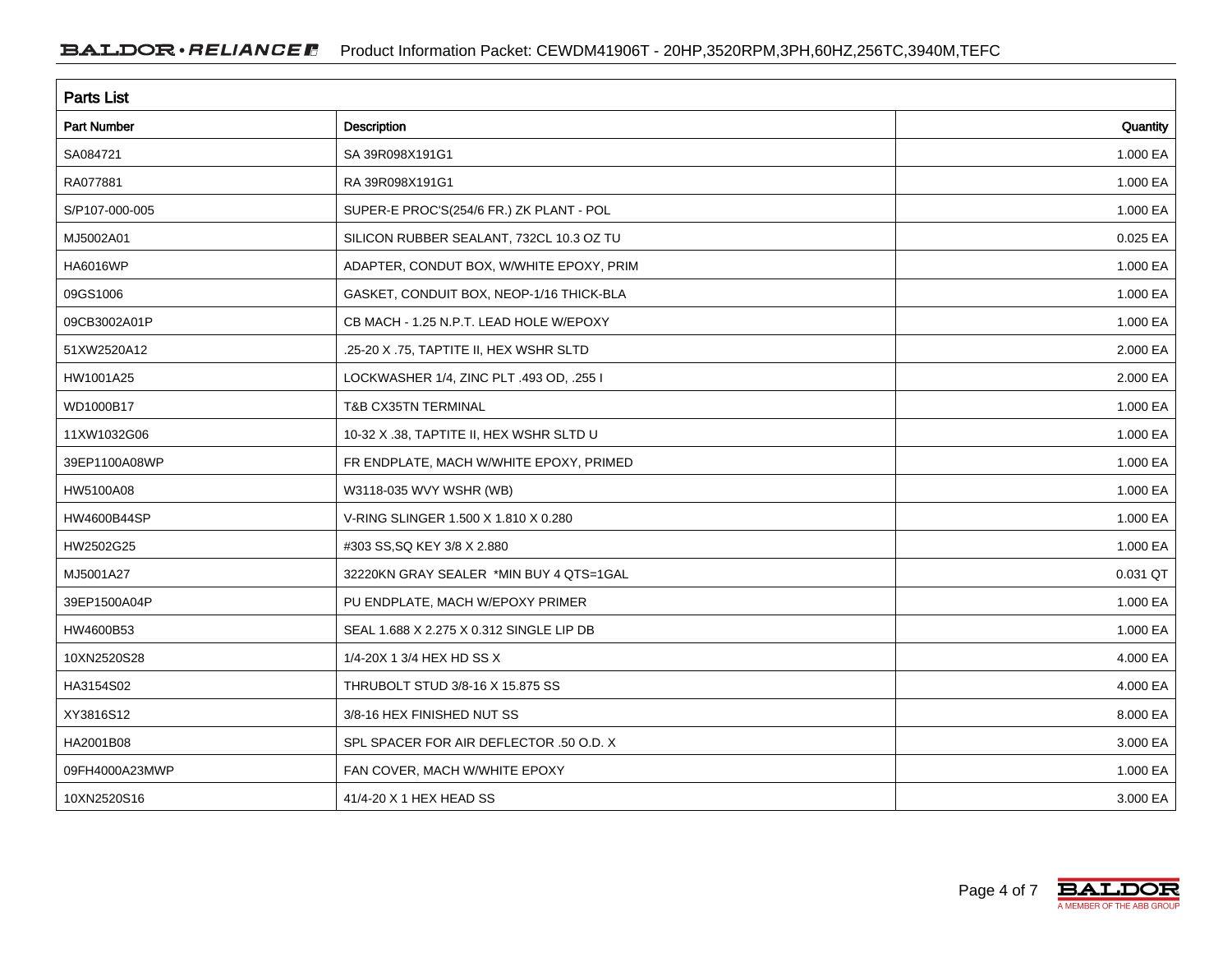| <b>Parts List</b>  |                                          |          |  |  |
|--------------------|------------------------------------------|----------|--|--|
| <b>Part Number</b> | Description                              | Quantity |  |  |
| SA084721           | SA 39R098X191G1                          | 1.000 EA |  |  |
| RA077881           | RA 39R098X191G1                          | 1.000 EA |  |  |
| S/P107-000-005     | SUPER-E PROC'S(254/6 FR.) ZK PLANT - POL | 1.000 EA |  |  |
| MJ5002A01          | SILICON RUBBER SEALANT, 732CL 10.3 OZ TU | 0.025 EA |  |  |
| HA6016WP           | ADAPTER, CONDUT BOX, W/WHITE EPOXY, PRIM | 1.000 EA |  |  |
| 09GS1006           | GASKET, CONDUIT BOX, NEOP-1/16 THICK-BLA | 1.000 EA |  |  |
| 09CB3002A01P       | CB MACH - 1.25 N.P.T. LEAD HOLE W/EPOXY  | 1.000 EA |  |  |
| 51XW2520A12        | .25-20 X .75, TAPTITE II, HEX WSHR SLTD  | 2.000 EA |  |  |
| HW1001A25          | LOCKWASHER 1/4, ZINC PLT .493 OD, .255 I | 2.000 EA |  |  |
| WD1000B17          | <b>T&amp;B CX35TN TERMINAL</b>           | 1.000 EA |  |  |
| 11XW1032G06        | 10-32 X .38, TAPTITE II, HEX WSHR SLTD U | 1.000 EA |  |  |
| 39EP1100A08WP      | FR ENDPLATE, MACH W/WHITE EPOXY, PRIMED  | 1.000 EA |  |  |
| HW5100A08          | W3118-035 WVY WSHR (WB)                  | 1.000 EA |  |  |
| <b>HW4600B44SP</b> | V-RING SLINGER 1.500 X 1.810 X 0.280     | 1.000 EA |  |  |
| HW2502G25          | #303 SS, SQ KEY 3/8 X 2.880              | 1.000 EA |  |  |
| MJ5001A27          | 32220KN GRAY SEALER *MIN BUY 4 QTS=1GAL  | 0.031 QT |  |  |
| 39EP1500A04P       | PU ENDPLATE, MACH W/EPOXY PRIMER         | 1.000 EA |  |  |
| HW4600B53          | SEAL 1.688 X 2.275 X 0.312 SINGLE LIP DB | 1.000 EA |  |  |
| 10XN2520S28        | 1/4-20X 1 3/4 HEX HD SS X                | 4.000 EA |  |  |
| HA3154S02          | THRUBOLT STUD 3/8-16 X 15.875 SS         | 4.000 EA |  |  |
| XY3816S12          | 3/8-16 HEX FINISHED NUT SS               | 8.000 EA |  |  |
| HA2001B08          | SPL SPACER FOR AIR DEFLECTOR .50 O.D. X  | 3.000 EA |  |  |
| 09FH4000A23MWP     | FAN COVER, MACH W/WHITE EPOXY            | 1.000 EA |  |  |
| 10XN2520S16        | 41/4-20 X 1 HEX HEAD SS                  | 3.000 EA |  |  |

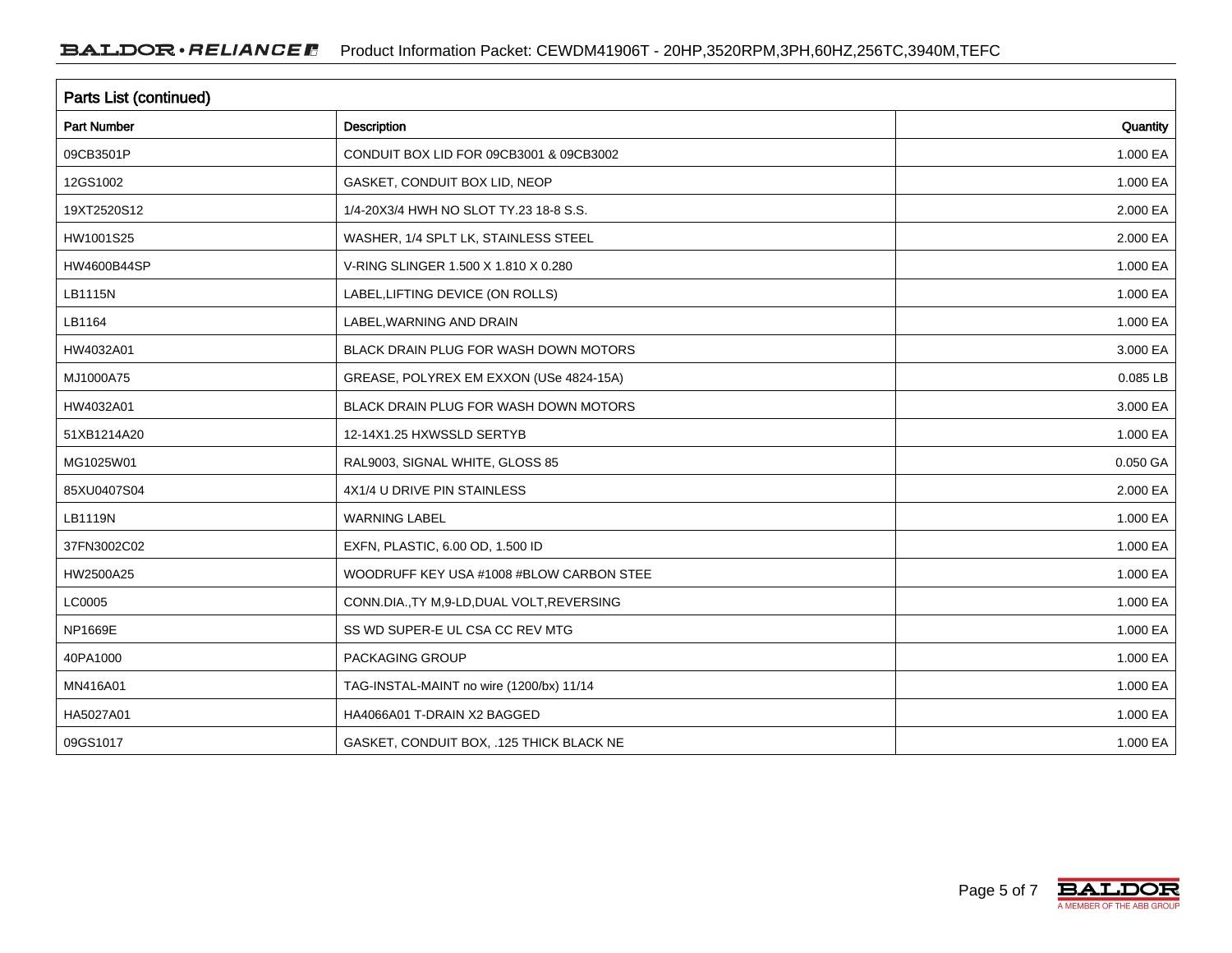| <b>Parts List (continued)</b> |                                             |          |  |  |
|-------------------------------|---------------------------------------------|----------|--|--|
| Part Number                   | Description                                 | Quantity |  |  |
| 09CB3501P                     | CONDUIT BOX LID FOR 09CB3001 & 09CB3002     | 1.000 EA |  |  |
| 12GS1002                      | GASKET, CONDUIT BOX LID, NEOP               | 1.000 EA |  |  |
| 19XT2520S12                   | 1/4-20X3/4 HWH NO SLOT TY.23 18-8 S.S.      | 2.000 EA |  |  |
| HW1001S25                     | WASHER, 1/4 SPLT LK, STAINLESS STEEL        | 2.000 EA |  |  |
| HW4600B44SP                   | V-RING SLINGER 1.500 X 1.810 X 0.280        | 1.000 EA |  |  |
| LB1115N                       | LABEL, LIFTING DEVICE (ON ROLLS)            | 1.000 EA |  |  |
| LB1164                        | LABEL, WARNING AND DRAIN                    | 1.000 EA |  |  |
| HW4032A01                     | BLACK DRAIN PLUG FOR WASH DOWN MOTORS       | 3.000 EA |  |  |
| MJ1000A75                     | GREASE, POLYREX EM EXXON (USe 4824-15A)     | 0.085 LB |  |  |
| HW4032A01                     | BLACK DRAIN PLUG FOR WASH DOWN MOTORS       | 3.000 EA |  |  |
| 51XB1214A20                   | 12-14X1.25 HXWSSLD SERTYB                   | 1.000 EA |  |  |
| MG1025W01                     | RAL9003, SIGNAL WHITE, GLOSS 85             | 0.050 GA |  |  |
| 85XU0407S04                   | 4X1/4 U DRIVE PIN STAINLESS                 | 2.000 EA |  |  |
| <b>LB1119N</b>                | WARNING LABEL                               | 1.000 EA |  |  |
| 37FN3002C02                   | EXFN, PLASTIC, 6.00 OD, 1.500 ID            | 1.000 EA |  |  |
| HW2500A25                     | WOODRUFF KEY USA #1008 #BLOW CARBON STEE    | 1.000 EA |  |  |
| LC0005                        | CONN.DIA., TY M, 9-LD, DUAL VOLT, REVERSING | 1.000 EA |  |  |
| NP1669E                       | SS WD SUPER-E UL CSA CC REV MTG             | 1.000 EA |  |  |
| 40PA1000                      | PACKAGING GROUP                             | 1.000 EA |  |  |
| MN416A01                      | TAG-INSTAL-MAINT no wire (1200/bx) 11/14    | 1.000 EA |  |  |
| HA5027A01                     | HA4066A01 T-DRAIN X2 BAGGED                 | 1.000 EA |  |  |
| 09GS1017                      | GASKET, CONDUIT BOX, .125 THICK BLACK NE    | 1.000 EA |  |  |

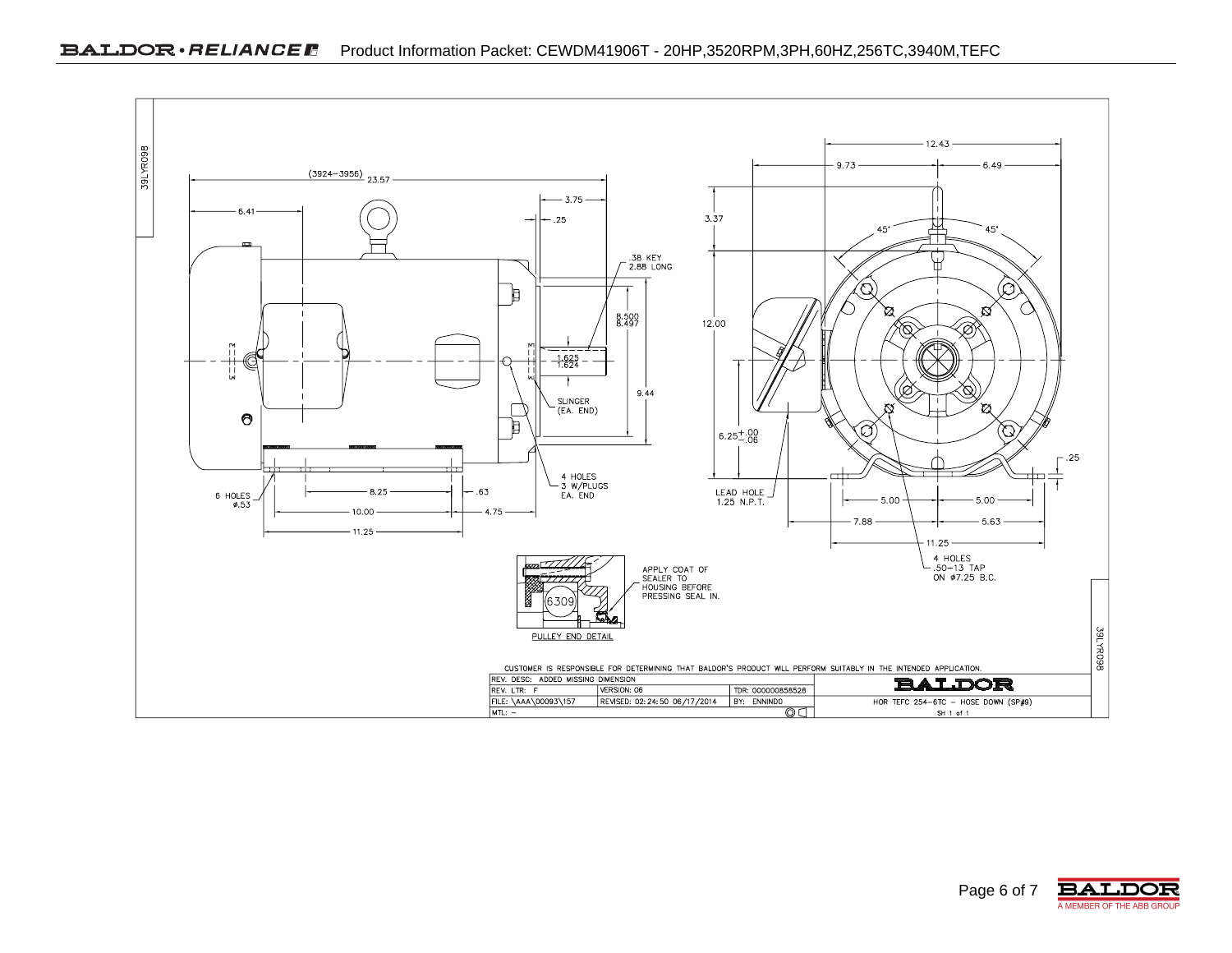